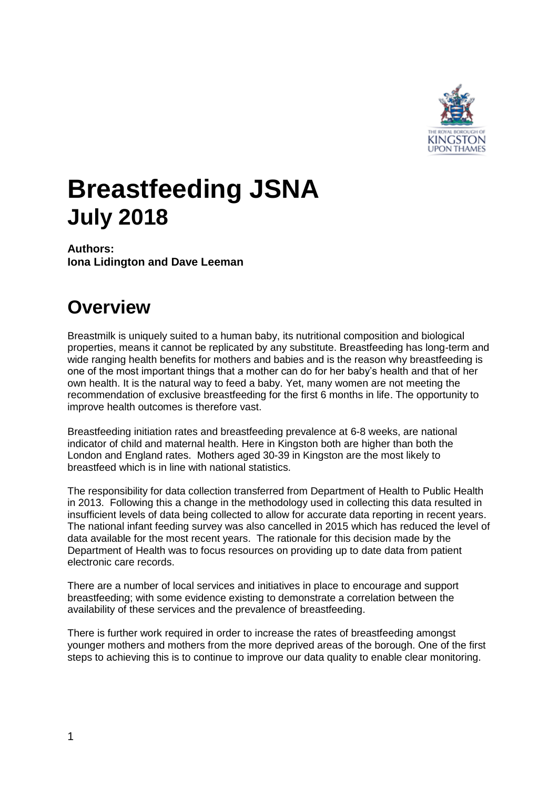

# **Breastfeeding JSNA July 2018**

**Authors: Iona Lidington and Dave Leeman**

# **Overview**

Breastmilk is uniquely suited to a human baby, its nutritional composition and biological properties, means it cannot be replicated by any substitute. Breastfeeding has long-term and wide ranging health benefits for mothers and babies and is the reason why breastfeeding is one of the most important things that a mother can do for her baby's health and that of her own health. It is the natural way to feed a baby. Yet, many women are not meeting the recommendation of exclusive breastfeeding for the first 6 months in life. The opportunity to improve health outcomes is therefore vast.

Breastfeeding initiation rates and breastfeeding prevalence at 6-8 weeks, are national indicator of child and maternal health. Here in Kingston both are higher than both the London and England rates. Mothers aged 30-39 in Kingston are the most likely to breastfeed which is in line with national statistics.

The responsibility for data collection transferred from Department of Health to Public Health in 2013. Following this a change in the methodology used in collecting this data resulted in insufficient levels of data being collected to allow for accurate data reporting in recent years. The national infant feeding survey was also cancelled in 2015 which has reduced the level of data available for the most recent years. The rationale for this decision made by the Department of Health was to focus resources on providing up to date data from patient electronic care records.

There are a number of local services and initiatives in place to encourage and support breastfeeding; with some evidence existing to demonstrate a correlation between the availability of these services and the prevalence of breastfeeding.

There is further work required in order to increase the rates of breastfeeding amongst younger mothers and mothers from the more deprived areas of the borough. One of the first steps to achieving this is to continue to improve our data quality to enable clear monitoring.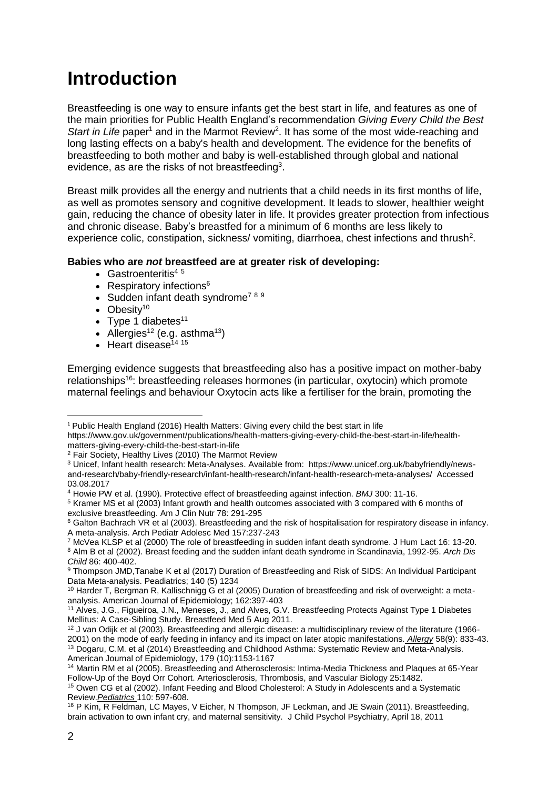## **Introduction**

Breastfeeding is one way to ensure infants get the best start in life, and features as one of the main priorities for Public Health England's recommendation *Giving Every Child the Best*  Start in Life paper<sup>1</sup> and in the Marmot Review<sup>2</sup>. It has some of the most wide-reaching and long lasting effects on a baby's health and development. The evidence for the benefits of breastfeeding to both mother and baby is well-established through global and national evidence, as are the risks of not breastfeeding<sup>3</sup>.

Breast milk provides all the energy and nutrients that a child needs in its first months of life, as well as promotes sensory and cognitive development. It leads to slower, healthier weight gain, reducing the chance of obesity later in life. It provides greater protection from infectious and chronic disease. Baby's breastfed for a minimum of 6 months are less likely to experience colic, constipation, sickness/ vomiting, diarrhoea, chest infections and thrush<sup>2</sup>.

## **Babies who are** *not* **breastfeed are at greater risk of developing:**

- Gastroenteritis<sup>45</sup>
- Respiratory infections $6$
- $\bullet$  Sudden infant death syndrome<sup>789</sup>
- $\bullet$  Obesity<sup>10</sup>
- Type 1 diabetes $11$
- Allergies<sup>12</sup> (e.g. asthma<sup>13</sup>)
- $\cdot$  Heart disease<sup>14 15</sup>

Emerging evidence suggests that breastfeeding also has a positive impact on mother-baby relationships<sup>16</sup>: breastfeeding releases hormones (in particular, oxytocin) which promote maternal feelings and behaviour Oxytocin acts like a fertiliser for the brain, promoting the

<sup>1</sup> <sup>1</sup> Public Health England (2016) Health Matters: Giving every child the best start in life https://www.gov.uk/government/publications/health-matters-giving-every-child-the-best-start-in-life/healthmatters-giving-every-child-the-best-start-in-life

<sup>2</sup> Fair Society, Healthy Lives (2010) The Marmot Review

<sup>3</sup> Unicef, Infant health research: Meta-Analyses. Available from: https://www.unicef.org.uk/babyfriendly/newsand-research/baby-friendly-research/infant-health-research/infant-health-research-meta-analyses/ Accessed 03.08.2017

<sup>4</sup> Howie PW et al. (1990). Protective effect of breastfeeding against infection. *BMJ* 300: 11-16.

<sup>5</sup> Kramer MS et al (2003) Infant growth and health outcomes associated with 3 compared with 6 months of exclusive breastfeeding. Am J Clin Nutr 78: 291-295

<sup>&</sup>lt;sup>6</sup> Galton Bachrach VR et al (2003). Breastfeeding and the risk of hospitalisation for respiratory disease in infancy. A meta-analysis. Arch Pediatr Adolesc Med 157:237-243

<sup>7</sup> McVea KLSP et al (2000) The role of breastfeeding in sudden infant death syndrome. J Hum Lact 16: 13-20. <sup>8</sup> Alm B et al (2002). Breast feeding and the sudden infant death syndrome in Scandinavia, 1992-95. *Arch Dis Child* 86: 400-402.

<sup>9</sup> Thompson JMD,Tanabe K et al (2017) Duration of Breastfeeding and Risk of SIDS: An Individual Participant Data Meta-analysis. Peadiatrics; 140 (5) 1234

<sup>&</sup>lt;sup>10</sup> Harder T, Bergman R, Kallischnigg G et al (2005) Duration of breastfeeding and risk of overweight: a metaanalysis. American Journal of Epidemiology; 162:397-403

<sup>&</sup>lt;sup>11</sup> Alves, J.G., Figueiroa, J.N., Meneses, J., and Alves, G.V. Breastfeeding Protects Against Type 1 Diabetes Mellitus: A Case-Sibling Study. Breastfeed Med 5 Aug 2011.

<sup>12</sup> J van Odijk et al (2003). Breastfeeding and allergic disease: a multidisciplinary review of the literature (1966- 2001) on the mode of early feeding in infancy and its impact on later atopic manifestations. *Allergy* 58(9): 833-43.

<sup>13</sup> Dogaru, C.M. et al (2014) Breastfeeding and Childhood Asthma: Systematic Review and Meta-Analysis. American Journal of Epidemiology, 179 (10):1153-1167

<sup>14</sup> Martin RM et al (2005). Breastfeeding and Atherosclerosis: Intima-Media Thickness and Plaques at 65-Year Follow-Up of the Boyd Orr Cohort. Arteriosclerosis, Thrombosis, and Vascular Biology 25:1482.

<sup>&</sup>lt;sup>15</sup> Owen CG et al (2002). Infant Feeding and Blood Cholesterol: A Study in Adolescents and a Systematic Review.*Pediatrics* 110: 597-608.

<sup>&</sup>lt;sup>16</sup> P Kim, R Feldman, LC Mayes, V Eicher, N Thompson, JF Leckman, and JE Swain (2011). Breastfeeding, brain activation to own infant cry, and maternal sensitivity. J Child Psychol Psychiatry, April 18, 2011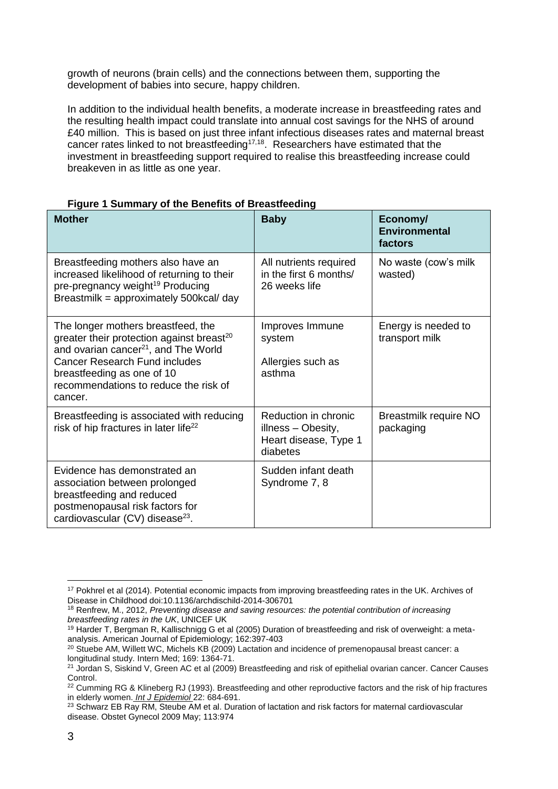growth of neurons (brain cells) and the connections between them, supporting the development of babies into secure, happy children.

In addition to the individual health benefits, a moderate increase in breastfeeding rates and the resulting health impact could translate into annual cost savings for the NHS of around £40 million. This is based on just three infant infectious diseases rates and maternal breast cancer rates linked to not breastfeeding<sup>17,18</sup>. Researchers have estimated that the investment in breastfeeding support required to realise this breastfeeding increase could breakeven in as little as one year.

| <b>Mother</b>                                                                                                                                                                                                                                                             | <b>Baby</b>                                                                     | Economy/<br><b>Environmental</b><br>factors |
|---------------------------------------------------------------------------------------------------------------------------------------------------------------------------------------------------------------------------------------------------------------------------|---------------------------------------------------------------------------------|---------------------------------------------|
| Breastfeeding mothers also have an<br>increased likelihood of returning to their<br>pre-pregnancy weight <sup>19</sup> Producing<br>Breastmilk = approximately 500kcal/ day                                                                                               | All nutrients required<br>in the first 6 months/<br>26 weeks life               | No waste (cow's milk<br>wasted)             |
| The longer mothers breastfeed, the<br>greater their protection against breast <sup>20</sup><br>and ovarian cancer <sup>21</sup> , and The World<br><b>Cancer Research Fund includes</b><br>breastfeeding as one of 10<br>recommendations to reduce the risk of<br>cancer. | Improves Immune<br>system<br>Allergies such as<br>asthma                        | Energy is needed to<br>transport milk       |
| Breastfeeding is associated with reducing<br>risk of hip fractures in later life <sup>22</sup>                                                                                                                                                                            | Reduction in chronic<br>illness - Obesity,<br>Heart disease, Type 1<br>diabetes | Breastmilk require NO<br>packaging          |
| Evidence has demonstrated an<br>association between prolonged<br>breastfeeding and reduced<br>postmenopausal risk factors for<br>cardiovascular (CV) disease <sup>23</sup> .                                                                                              | Sudden infant death<br>Syndrome 7, 8                                            |                                             |

## **Figure 1 Summary of the Benefits of Breastfeeding**

1

<sup>&</sup>lt;sup>17</sup> Pokhrel et al (2014). Potential economic impacts from improving breastfeeding rates in the UK. Archives of Disease in Childhood doi:10.1136/archdischild-2014-306701

<sup>18</sup> Renfrew, M., 2012, *Preventing disease and saving resources: the potential contribution of increasing breastfeeding rates in the UK*, UNICEF UK

<sup>&</sup>lt;sup>19</sup> Harder T, Bergman R, Kallischnigg G et al (2005) Duration of breastfeeding and risk of overweight: a metaanalysis. American Journal of Epidemiology; 162:397-403

<sup>&</sup>lt;sup>20</sup> Stuebe AM, Willett WC, Michels KB (2009) Lactation and incidence of premenopausal breast cancer: a longitudinal study. Intern Med; 169: 1364-71.

<sup>&</sup>lt;sup>21</sup> Jordan S, Siskind V, Green AC et al (2009) Breastfeeding and risk of epithelial ovarian cancer. Cancer Causes Control.

<sup>&</sup>lt;sup>22</sup> Cumming RG & Klineberg RJ (1993). Breastfeeding and other reproductive factors and the risk of hip fractures in elderly women. *Int J Epidemiol* 22: 684-691.

<sup>&</sup>lt;sup>23</sup> Schwarz EB Ray RM, Steube AM et al. Duration of lactation and risk factors for maternal cardiovascular disease. Obstet Gynecol 2009 May; 113:974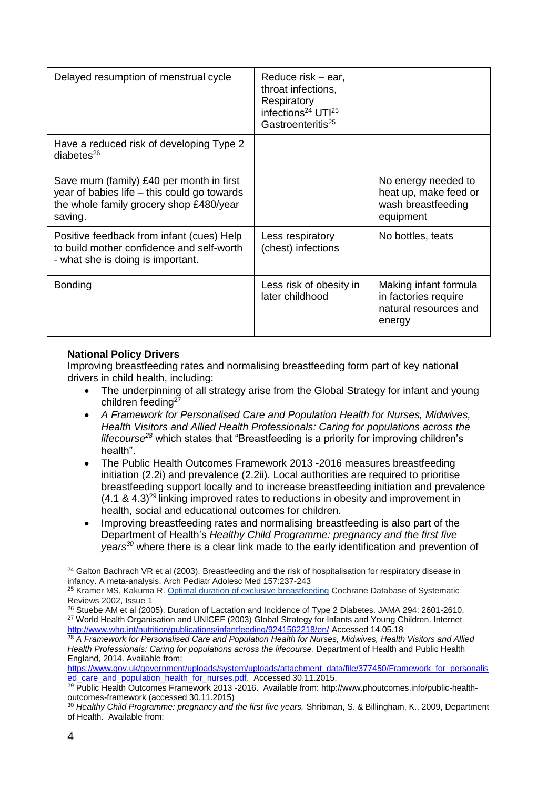| Delayed resumption of menstrual cycle                                                                                                         | Reduce risk – ear,<br>throat infections,<br>Respiratory<br>infections <sup>24</sup> UTI <sup>25</sup><br>Gastroenteritis <sup>25</sup> |                                                                                  |
|-----------------------------------------------------------------------------------------------------------------------------------------------|----------------------------------------------------------------------------------------------------------------------------------------|----------------------------------------------------------------------------------|
| Have a reduced risk of developing Type 2<br>diabetes $^{26}$                                                                                  |                                                                                                                                        |                                                                                  |
| Save mum (family) £40 per month in first<br>year of babies life – this could go towards<br>the whole family grocery shop £480/year<br>saving. |                                                                                                                                        | No energy needed to<br>heat up, make feed or<br>wash breastfeeding<br>equipment  |
| Positive feedback from infant (cues) Help<br>to build mother confidence and self-worth<br>- what she is doing is important.                   | Less respiratory<br>(chest) infections                                                                                                 | No bottles, teats                                                                |
| <b>Bonding</b>                                                                                                                                | Less risk of obesity in<br>later childhood                                                                                             | Making infant formula<br>in factories require<br>natural resources and<br>energy |

## **National Policy Drivers**

Improving breastfeeding rates and normalising breastfeeding form part of key national drivers in child health, including:

- The underpinning of all strategy arise from the Global Strategy for infant and young children feeding<sup>27</sup>
- *A Framework for Personalised Care and Population Health for Nurses, Midwives, Health Visitors and Allied Health Professionals: Caring for populations across the lifecourse<sup>28</sup>* which states that "Breastfeeding is a priority for improving children's health".
- The Public Health Outcomes Framework 2013 -2016 measures breastfeeding initiation (2.2i) and prevalence (2.2ii). Local authorities are required to prioritise breastfeeding support locally and to increase breastfeeding initiation and prevalence  $(4.1 \& 4.3)^{29}$  linking improved rates to reductions in obesity and improvement in health, social and educational outcomes for children.
- Improving breastfeeding rates and normalising breastfeeding is also part of the Department of Health's *Healthy Child Programme: pregnancy and the first five years<sup>30</sup>* where there is a clear link made to the early identification and prevention of

[https://www.gov.uk/government/uploads/system/uploads/attachment\\_data/file/377450/Framework\\_for\\_personalis](https://www.gov.uk/government/uploads/system/uploads/attachment_data/file/377450/Framework_for_personalised_care_and_population_health_for_nurses.pdf) [ed\\_care\\_and\\_population\\_health\\_for\\_nurses.pdf.](https://www.gov.uk/government/uploads/system/uploads/attachment_data/file/377450/Framework_for_personalised_care_and_population_health_for_nurses.pdf) Accessed 30.11.2015.

<sup>&</sup>lt;u>.</u> <sup>24</sup> Galton Bachrach VR et al (2003). Breastfeeding and the risk of hospitalisation for respiratory disease in infancy. A meta-analysis. Arch Pediatr Adolesc Med 157:237-243

<sup>&</sup>lt;sup>25</sup> Kramer MS, Kakuma R. [Optimal duration of exclusive breastfeeding](http://onlinelibrary.wiley.com/o/cochrane/clsysrev/articles/CD003517/frame.html) Cochrane Database of Systematic Reviews 2002, Issue 1

<sup>&</sup>lt;sup>26</sup> Stuebe AM et al (2005). Duration of Lactation and Incidence of Type 2 Diabetes. JAMA 294: 2601-2610. <sup>27</sup> World Health Organisation and UNICEF (2003) Global Strategy for Infants and Young Children. Internet <http://www.who.int/nutrition/publications/infantfeeding/9241562218/en/> Accessed 14.05.18

<sup>28</sup> *A Framework for Personalised Care and Population Health for Nurses, Midwives, Health Visitors and Allied Health Professionals: Caring for populations across the lifecourse.* Department of Health and Public Health England, 2014. Available from:

<sup>&</sup>lt;sup>29</sup> Public Health Outcomes Framework 2013 -2016. Available from: http://www.phoutcomes.info/public-healthoutcomes-framework (accessed 30.11.2015)

<sup>30</sup> *Healthy Child Programme: pregnancy and the first five years.* Shribman, S. & Billingham, K., 2009, Department of Health. Available from: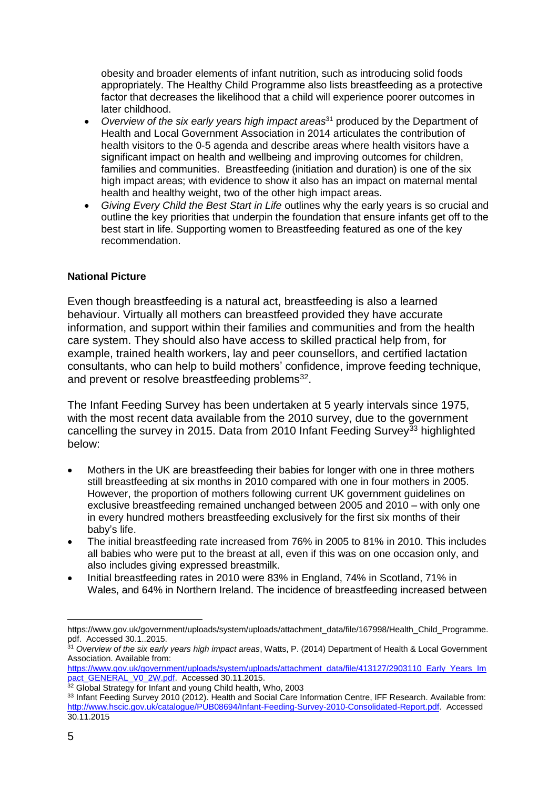obesity and broader elements of infant nutrition, such as introducing solid foods appropriately. The Healthy Child Programme also lists breastfeeding as a protective factor that decreases the likelihood that a child will experience poorer outcomes in later childhood.

- *Overview of the six early years high impact areas*<sup>31</sup> produced by the Department of Health and Local Government Association in 2014 articulates the contribution of health visitors to the 0-5 agenda and describe areas where health visitors have a significant impact on health and wellbeing and improving outcomes for children, families and communities. Breastfeeding (initiation and duration) is one of the six high impact areas; with evidence to show it also has an impact on maternal mental health and healthy weight, two of the other high impact areas.
- *Giving Every Child the Best Start in Life* outlines why the early years is so crucial and outline the key priorities that underpin the foundation that ensure infants get off to the best start in life. Supporting women to Breastfeeding featured as one of the key recommendation.

## **National Picture**

Even though breastfeeding is a natural act, breastfeeding is also a learned behaviour. Virtually all mothers can breastfeed provided they have accurate information, and support within their families and communities and from the health care system. They should also have access to skilled practical help from, for example, trained health workers, lay and peer counsellors, and certified lactation consultants, who can help to build mothers' confidence, improve feeding technique, and prevent or resolve breastfeeding problems<sup>32</sup>.

The Infant Feeding Survey has been undertaken at 5 yearly intervals since 1975, with the most recent data available from the 2010 survey, due to the government cancelling the survey in 2015. Data from 2010 Infant Feeding Survey<sup>33</sup> highlighted below:

- Mothers in the UK are breastfeeding their babies for longer with one in three mothers still breastfeeding at six months in 2010 compared with one in four mothers in 2005. However, the proportion of mothers following current UK government guidelines on exclusive breastfeeding remained unchanged between 2005 and 2010 – with only one in every hundred mothers breastfeeding exclusively for the first six months of their baby's life.
- The initial breastfeeding rate increased from 76% in 2005 to 81% in 2010. This includes all babies who were put to the breast at all, even if this was on one occasion only, and also includes giving expressed breastmilk.
- Initial breastfeeding rates in 2010 were 83% in England, 74% in Scotland, 71% in Wales, and 64% in Northern Ireland. The incidence of breastfeeding increased between

<sup>1</sup> https://www.gov.uk/government/uploads/system/uploads/attachment\_data/file/167998/Health\_Child\_Programme. pdf. Accessed 30.1..2015.

<sup>31</sup> *Overview of the six early years high impact areas*, Watts, P. (2014) Department of Health & Local Government Association. Available from:

[https://www.gov.uk/government/uploads/system/uploads/attachment\\_data/file/413127/2903110\\_Early\\_Years\\_Im](https://www.gov.uk/government/uploads/system/uploads/attachment_data/file/413127/2903110_Early_Years_Impact_GENERAL_V0_2W.pdf) [pact\\_GENERAL\\_V0\\_2W.pdf.](https://www.gov.uk/government/uploads/system/uploads/attachment_data/file/413127/2903110_Early_Years_Impact_GENERAL_V0_2W.pdf) Accessed 30.11.2015.

<sup>&</sup>lt;sup>32</sup> Global Strategy for Infant and young Child health, Who, 2003

<sup>33</sup> Infant Feeding Survey 2010 (2012). Health and Social Care Information Centre, IFF Research. Available from: [http://www.hscic.gov.uk/catalogue/PUB08694/Infant-Feeding-Survey-2010-Consolidated-Report.pdf.](http://www.hscic.gov.uk/catalogue/PUB08694/Infant-Feeding-Survey-2010-Consolidated-Report.pdf) Accessed 30.11.2015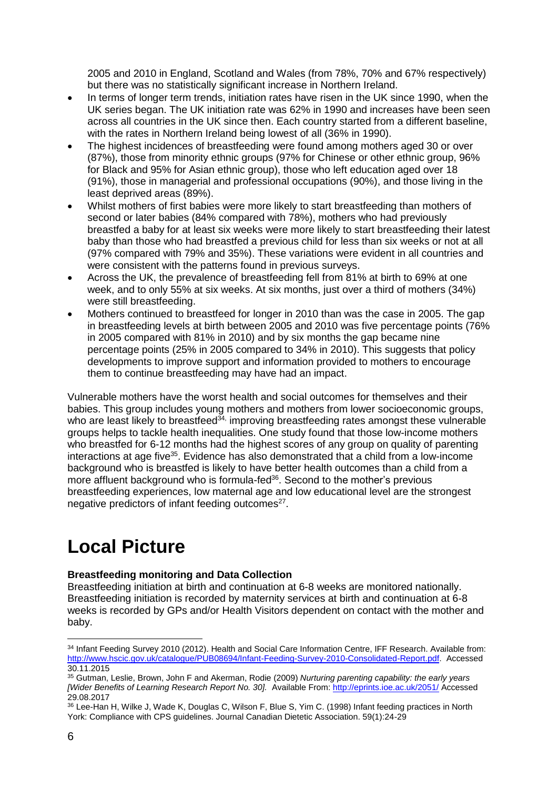2005 and 2010 in England, Scotland and Wales (from 78%, 70% and 67% respectively) but there was no statistically significant increase in Northern Ireland.

- In terms of longer term trends, initiation rates have risen in the UK since 1990, when the UK series began. The UK initiation rate was 62% in 1990 and increases have been seen across all countries in the UK since then. Each country started from a different baseline, with the rates in Northern Ireland being lowest of all (36% in 1990).
- The highest incidences of breastfeeding were found among mothers aged 30 or over (87%), those from minority ethnic groups (97% for Chinese or other ethnic group, 96% for Black and 95% for Asian ethnic group), those who left education aged over 18 (91%), those in managerial and professional occupations (90%), and those living in the least deprived areas (89%).
- Whilst mothers of first babies were more likely to start breastfeeding than mothers of second or later babies (84% compared with 78%), mothers who had previously breastfed a baby for at least six weeks were more likely to start breastfeeding their latest baby than those who had breastfed a previous child for less than six weeks or not at all (97% compared with 79% and 35%). These variations were evident in all countries and were consistent with the patterns found in previous surveys.
- Across the UK, the prevalence of breastfeeding fell from 81% at birth to 69% at one week, and to only 55% at six weeks. At six months, just over a third of mothers (34%) were still breastfeeding.
- Mothers continued to breastfeed for longer in 2010 than was the case in 2005. The gap in breastfeeding levels at birth between 2005 and 2010 was five percentage points (76% in 2005 compared with 81% in 2010) and by six months the gap became nine percentage points (25% in 2005 compared to 34% in 2010). This suggests that policy developments to improve support and information provided to mothers to encourage them to continue breastfeeding may have had an impact.

Vulnerable mothers have the worst health and social outcomes for themselves and their babies. This group includes young mothers and mothers from lower socioeconomic groups, who are least likely to breastfeed<sup>34,</sup> improving breastfeeding rates amongst these vulnerable groups helps to tackle health inequalities. One study found that those low-income mothers who breastfed for 6-12 months had the highest scores of any group on quality of parenting interactions at age five<sup>35</sup>. Evidence has also demonstrated that a child from a low-income background who is breastfed is likely to have better health outcomes than a child from a more affluent background who is formula-fed<sup>36</sup>. Second to the mother's previous breastfeeding experiences, low maternal age and low educational level are the strongest negative predictors of infant feeding outcomes<sup>27</sup>.

# **Local Picture**

## **Breastfeeding monitoring and Data Collection**

Breastfeeding initiation at birth and continuation at 6-8 weeks are monitored nationally. Breastfeeding initiation is recorded by maternity services at birth and continuation at 6-8 weeks is recorded by GPs and/or Health Visitors dependent on contact with the mother and baby.

<sup>&</sup>lt;u>.</u> 34 Infant Feeding Survey 2010 (2012). Health and Social Care Information Centre, IFF Research. Available from: [http://www.hscic.gov.uk/catalogue/PUB08694/Infant-Feeding-Survey-2010-Consolidated-Report.pdf.](http://www.hscic.gov.uk/catalogue/PUB08694/Infant-Feeding-Survey-2010-Consolidated-Report.pdf) Accessed 30.11.2015

<sup>35</sup> Gutman, Leslie, Brown, John F and Akerman, Rodie (2009) *Nurturing parenting capability: the early years [Wider Benefits of Learning Research Report No. 30].* Available From:<http://eprints.ioe.ac.uk/2051/> Accessed 29.08.2017

<sup>36</sup> Lee-Han H, Wilke J, Wade K, Douglas C, Wilson F, Blue S, Yim C. (1998) Infant feeding practices in North York: Compliance with CPS guidelines. Journal Canadian Dietetic Association. 59(1):24-29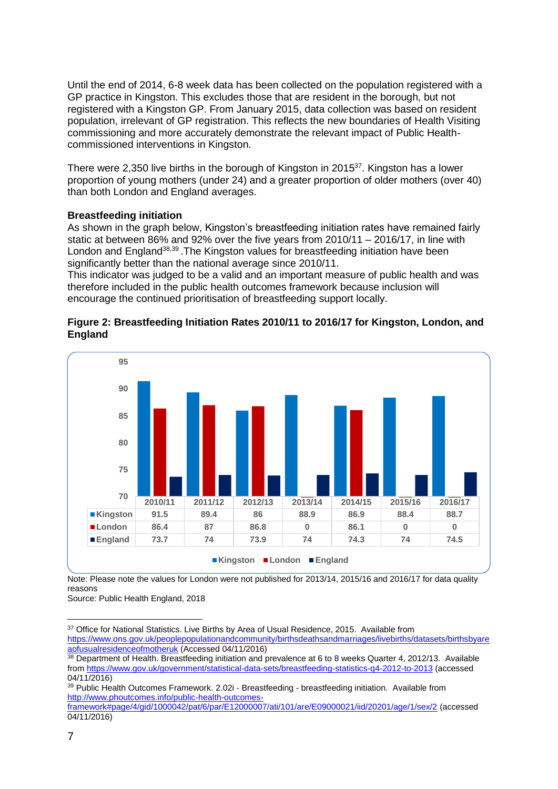Until the end of 2014, 6-8 week data has been collected on the population registered with a GP practice in Kingston. This excludes those that are resident in the borough, but not registered with a Kingston GP. From January 2015, data collection was based on resident population, irrelevant of GP registration. This reflects the new boundaries of Health Visiting commissioning and more accurately demonstrate the relevant impact of Public Healthcommissioned interventions in Kingston.

There were 2,350 live births in the borough of Kingston in 2015<sup>37</sup>. Kingston has a lower proportion of young mothers (under 24) and a greater proportion of older mothers (over 40) than both London and England averages.

## **Breastfeeding initiation**

As shown in the graph below, Kingston's breastfeeding initiation rates have remained fairly static at between 86% and 92% over the five years from 2010/11 – 2016/17, in line with London and England<sup>38,39</sup>. The Kingston values for breastfeeding initiation have been significantly better than the national average since 2010/11.

This indicator was judged to be a valid and an important measure of public health and was therefore included in the public health outcomes framework because inclusion will encourage the continued prioritisation of breastfeeding support locally.

## **Figure 2: Breastfeeding Initiation Rates 2010/11 to 2016/17 for Kingston, London, and England**



Note: Please note the values for London were not published for 2013/14, 2015/16 and 2016/17 for data quality reasons

Source: Public Health England, 2018

<sup>1</sup> <sup>37</sup> Office for National Statistics. Live Births by Area of Usual Residence, 2015. Available from [https://www.ons.gov.uk/peoplepopulationandcommunity/birthsdeathsandmarriages/livebirths/datasets/birthsbyare](https://www.ons.gov.uk/peoplepopulationandcommunity/birthsdeathsandmarriages/livebirths/datasets/birthsbyareaofusualresidenceofmotheruk) [aofusualresidenceofmotheruk](https://www.ons.gov.uk/peoplepopulationandcommunity/birthsdeathsandmarriages/livebirths/datasets/birthsbyareaofusualresidenceofmotheruk) (Accessed 04/11/2016)

<sup>38</sup> Department of Health. Breastfeeding initiation and prevalence at 6 to 8 weeks Quarter 4, 2012/13. Available fro[m https://www.gov.uk/government/statistical-data-sets/breastfeeding-statistics-q4-2012-to-2013](https://www.gov.uk/government/statistical-data-sets/breastfeeding-statistics-q4-2012-to-2013) (accessed 04/11/2016)

<sup>&</sup>lt;sup>39</sup> Public Health Outcomes Framework. 2.02i - Breastfeeding - [breastfeeding initiation.](javascript:goToMetadataPage(0);) Available from [http://www.phoutcomes.info/public-health-outcomes-](http://www.phoutcomes.info/public-health-outcomes-framework#page/4/gid/1000042/pat/6/par/E12000007/ati/101/are/E09000021/iid/20201/age/1/sex/2)

[framework#page/4/gid/1000042/pat/6/par/E12000007/ati/101/are/E09000021/iid/20201/age/1/sex/2](http://www.phoutcomes.info/public-health-outcomes-framework#page/4/gid/1000042/pat/6/par/E12000007/ati/101/are/E09000021/iid/20201/age/1/sex/2) (accessed 04/11/2016)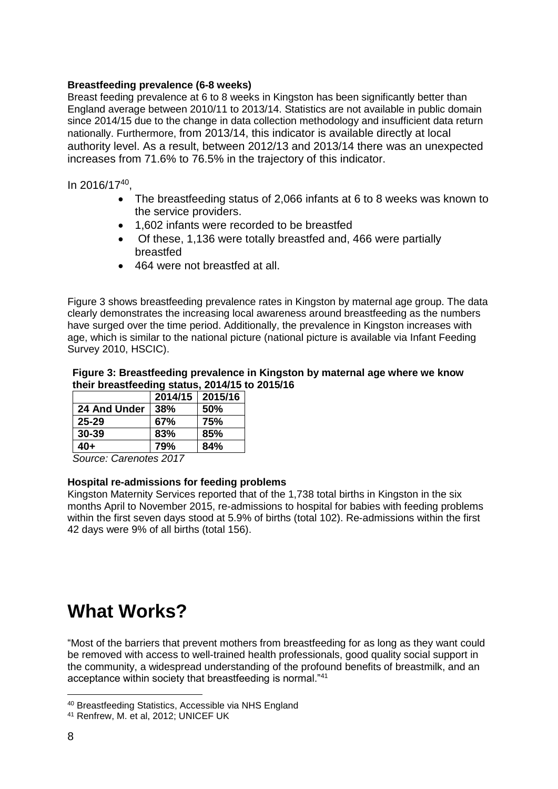## **Breastfeeding prevalence (6-8 weeks)**

Breast feeding prevalence at 6 to 8 weeks in Kingston has been significantly better than England average between 2010/11 to 2013/14. Statistics are not available in public domain since 2014/15 due to the change in data collection methodology and insufficient data return nationally. Furthermore, from 2013/14, this indicator is available directly at local authority level. As a result, between 2012/13 and 2013/14 there was an unexpected increases from 71.6% to 76.5% in the trajectory of this indicator.

In 2016/17<sup>40</sup> ,

- The breastfeeding status of 2,066 infants at 6 to 8 weeks was known to the service providers.
- 1,602 infants were recorded to be breastfed
- Of these, 1,136 were totally breastfed and, 466 were partially breastfed
- 464 were not breastfed at all.

Figure 3 shows breastfeeding prevalence rates in Kingston by maternal age group. The data clearly demonstrates the increasing local awareness around breastfeeding as the numbers have surged over the time period. Additionally, the prevalence in Kingston increases with age, which is similar to the national picture (national picture is available via Infant Feeding Survey 2010, HSCIC).

## **Figure 3: Breastfeeding prevalence in Kingston by maternal age where we know their breastfeeding status, 2014/15 to 2015/16**

|              |     | 2014/15   2015/16 |
|--------------|-----|-------------------|
| 24 And Under | 38% | <b>50%</b>        |
| $25 - 29$    | 67% | 75%               |
| $30 - 39$    | 83% | 85%               |
| 40+          | 79% | 84%               |

*Source: Carenotes 2017*

## **Hospital re-admissions for feeding problems**

Kingston Maternity Services reported that of the 1,738 total births in Kingston in the six months April to November 2015, re-admissions to hospital for babies with feeding problems within the first seven days stood at 5.9% of births (total 102). Re-admissions within the first 42 days were 9% of all births (total 156).

## **What Works?**

"Most of the barriers that prevent mothers from breastfeeding for as long as they want could be removed with access to well-trained health professionals, good quality social support in the community, a widespread understanding of the profound benefits of breastmilk, and an acceptance within society that breastfeeding is normal."<sup>41</sup>

1

<sup>40</sup> Breastfeeding Statistics, Accessible via NHS England

<sup>41</sup> Renfrew, M. et al, 2012; UNICEF UK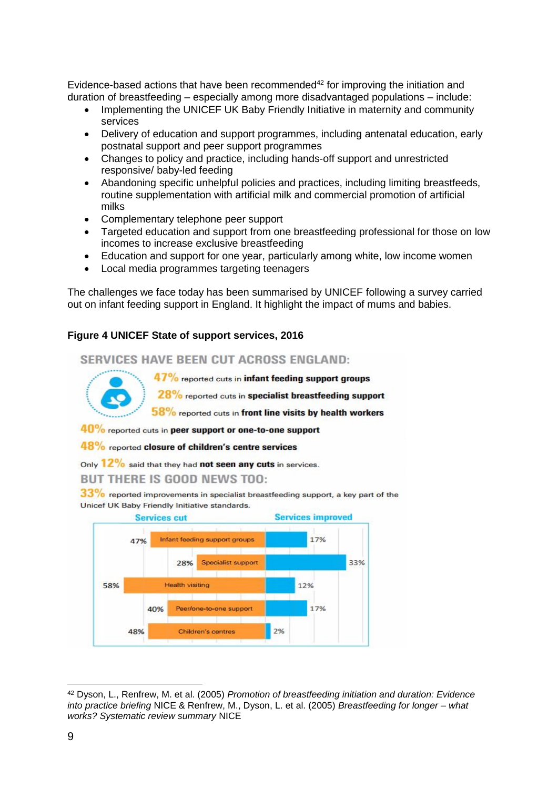Evidence-based actions that have been recommended $42$  for improving the initiation and duration of breastfeeding – especially among more disadvantaged populations – include:

- Implementing the UNICEF UK Baby Friendly Initiative in maternity and community services
- Delivery of education and support programmes, including antenatal education, early postnatal support and peer support programmes
- Changes to policy and practice, including hands-off support and unrestricted responsive/ baby-led feeding
- Abandoning specific unhelpful policies and practices, including limiting breastfeeds, routine supplementation with artificial milk and commercial promotion of artificial milks
- Complementary telephone peer support
- Targeted education and support from one breastfeeding professional for those on low incomes to increase exclusive breastfeeding
- Education and support for one year, particularly among white, low income women
- Local media programmes targeting teenagers

The challenges we face today has been summarised by UNICEF following a survey carried out on infant feeding support in England. It highlight the impact of mums and babies.

## **Figure 4 UNICEF State of support services, 2016**

 $40%$ 

48%

SERVICES HAVE BEEN CUT ACROSS ENGLAND: 47% reported cuts in infant feeding support groups 28% reported cuts in specialist breastfeeding support 58% reported cuts in front line visits by health workers 40% reported cuts in peer support or one-to-one support 48% reported closure of children's centre services Only  $12\%$  said that they had **not seen any cuts** in services. **BUT THERE IS GOOD NEWS TOO:** 33% reported improvements in specialist breastfeeding support, a key part of the Unicef UK Baby Friendly Initiative standards. **Services improved Services cut** 17% Infant feeding support groups 47% 28% Specialist support 33% **Health visiting** 58% 12%

Peer/one-to-one support

Children's centres

1 <sup>42</sup> Dyson, L., Renfrew, M. et al. (2005) *Promotion of breastfeeding initiation and duration: Evidence into practice briefing* NICE & Renfrew, M., Dyson, L. et al. (2005) *Breastfeeding for longer – what works? Systematic review summary* NICE

2%

17%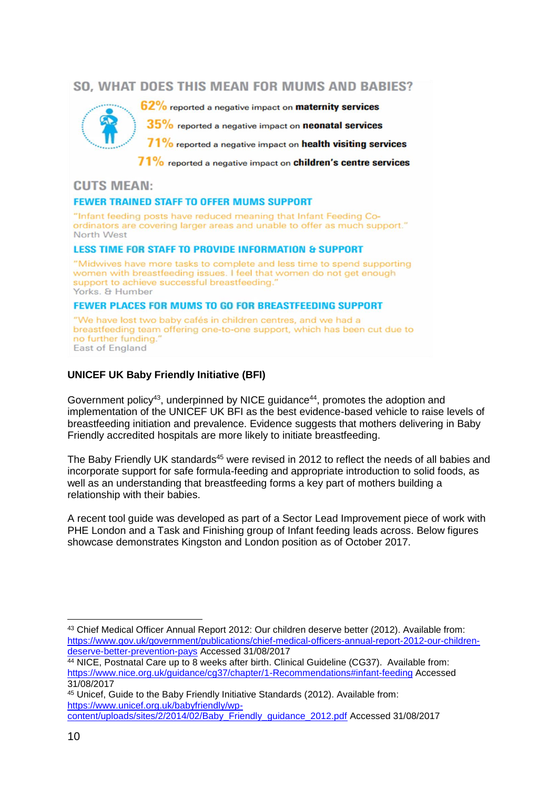## SO. WHAT DOES THIS MEAN FOR MUMS AND BABIES?



62% reported a negative impact on **maternity services** 

35% reported a negative impact on neonatal services

 $71\%$  reported a negative impact on health visiting services

71% reported a negative impact on children's centre services

## **CUTS MEAN:**

#### **FEWER TRAINED STAFF TO OFFER MUMS SUPPORT**

"Infant feeding posts have reduced meaning that Infant Feeding Coordinators are covering larger areas and unable to offer as much support." North West

#### **LESS TIME FOR STAFF TO PROVIDE INFORMATION & SUPPORT**

"Midwives have more tasks to complete and less time to spend supporting women with breastfeeding issues. I feel that women do not get enough support to achieve successful breastfeeding." Yorks. & Humber

#### **FEWER PLACES FOR MUMS TO GO FOR BREASTFEEDING SUPPORT**

"We have lost two baby cafés in children centres, and we had a breastfeeding team offering one-to-one support, which has been cut due to no further funding." **East of England** 

## **UNICEF UK Baby Friendly Initiative (BFI)**

Government policy<sup>43</sup>, underpinned by NICE guidance<sup>44</sup>, promotes the adoption and implementation of the UNICEF UK BFI as the best evidence-based vehicle to raise levels of breastfeeding initiation and prevalence. Evidence suggests that mothers delivering in Baby Friendly accredited hospitals are more likely to initiate breastfeeding.

The Baby Friendly UK standards<sup>45</sup> were revised in 2012 to reflect the needs of all babies and incorporate support for safe formula-feeding and appropriate introduction to solid foods, as well as an understanding that breastfeeding forms a key part of mothers building a relationship with their babies.

A recent tool guide was developed as part of a Sector Lead Improvement piece of work with PHE London and a Task and Finishing group of Infant feeding leads across. Below figures showcase demonstrates Kingston and London position as of October 2017.

1

<sup>43</sup> Chief Medical Officer Annual Report 2012: Our children deserve better (2012). Available from: [https://www.gov.uk/government/publications/chief-medical-officers-annual-report-2012-our-children](https://www.gov.uk/government/publications/chief-medical-officers-annual-report-2012-our-children-deserve-better-prevention-pays)[deserve-better-prevention-pays](https://www.gov.uk/government/publications/chief-medical-officers-annual-report-2012-our-children-deserve-better-prevention-pays) Accessed 31/08/2017

<sup>&</sup>lt;sup>44</sup> NICE, Postnatal Care up to 8 weeks after birth. Clinical Guideline (CG37). Available from: <https://www.nice.org.uk/guidance/cg37/chapter/1-Recommendations#infant-feeding> Accessed 31/08/2017

<sup>45</sup> Unicef, Guide to the Baby Friendly Initiative Standards (2012). Available from: [https://www.unicef.org.uk/babyfriendly/wp-](https://www.unicef.org.uk/babyfriendly/wp-content/uploads/sites/2/2014/02/Baby_Friendly_guidance_2012.pdf)

[content/uploads/sites/2/2014/02/Baby\\_Friendly\\_guidance\\_2012.pdf](https://www.unicef.org.uk/babyfriendly/wp-content/uploads/sites/2/2014/02/Baby_Friendly_guidance_2012.pdf) Accessed 31/08/2017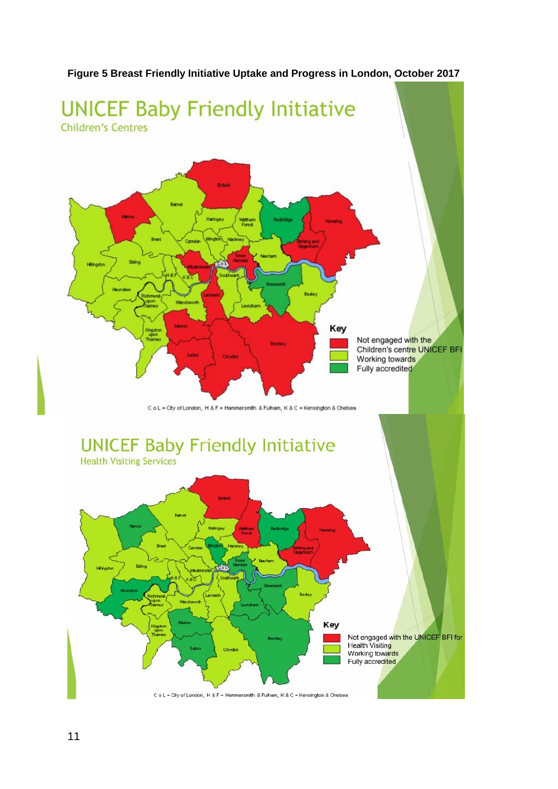

## **Figure 5 Breast Friendly Initiative Uptake and Progress in London, October 2017**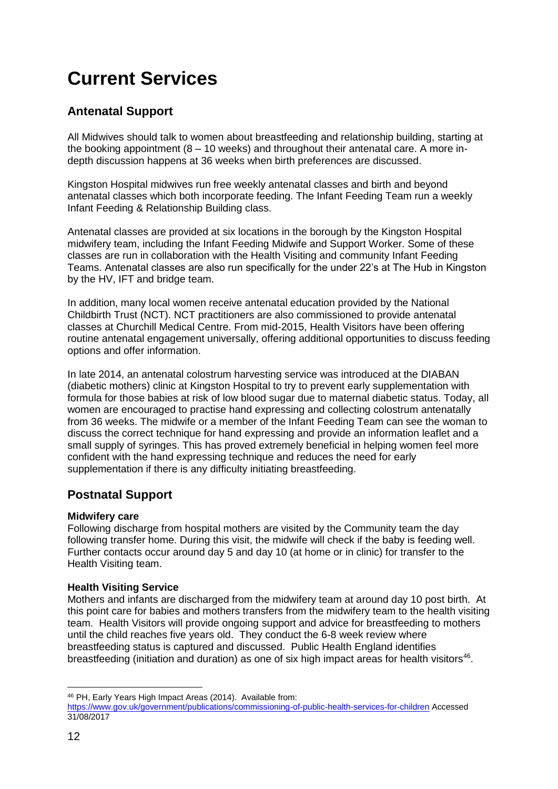# **Current Services**

## **Antenatal Support**

All Midwives should talk to women about breastfeeding and relationship building, starting at the booking appointment  $(8 - 10$  weeks) and throughout their antenatal care. A more indepth discussion happens at 36 weeks when birth preferences are discussed.

Kingston Hospital midwives run free weekly antenatal classes and birth and beyond antenatal classes which both incorporate feeding. The Infant Feeding Team run a weekly Infant Feeding & Relationship Building class.

Antenatal classes are provided at six locations in the borough by the Kingston Hospital midwifery team, including the Infant Feeding Midwife and Support Worker. Some of these classes are run in collaboration with the Health Visiting and community Infant Feeding Teams. Antenatal classes are also run specifically for the under 22's at The Hub in Kingston by the HV, IFT and bridge team.

In addition, many local women receive antenatal education provided by the National Childbirth Trust (NCT). NCT practitioners are also commissioned to provide antenatal classes at Churchill Medical Centre. From mid-2015, Health Visitors have been offering routine antenatal engagement universally, offering additional opportunities to discuss feeding options and offer information.

In late 2014, an antenatal colostrum harvesting service was introduced at the DIABAN (diabetic mothers) clinic at Kingston Hospital to try to prevent early supplementation with formula for those babies at risk of low blood sugar due to maternal diabetic status. Today, all women are encouraged to practise hand expressing and collecting colostrum antenatally from 36 weeks. The midwife or a member of the Infant Feeding Team can see the woman to discuss the correct technique for hand expressing and provide an information leaflet and a small supply of syringes. This has proved extremely beneficial in helping women feel more confident with the hand expressing technique and reduces the need for early supplementation if there is any difficulty initiating breastfeeding.

## **Postnatal Support**

## **Midwifery care**

Following discharge from hospital mothers are visited by the Community team the day following transfer home. During this visit, the midwife will check if the baby is feeding well. Further contacts occur around day 5 and day 10 (at home or in clinic) for transfer to the Health Visiting team.

## **Health Visiting Service**

Mothers and infants are discharged from the midwifery team at around day 10 post birth. At this point care for babies and mothers transfers from the midwifery team to the health visiting team. Health Visitors will provide ongoing support and advice for breastfeeding to mothers until the child reaches five years old. They conduct the 6-8 week review where breastfeeding status is captured and discussed. Public Health England identifies breastfeeding (initiation and duration) as one of six high impact areas for health visitors<sup>46</sup>.

<sup>1</sup> <sup>46</sup> PH, Early Years High Impact Areas (2014). Available from:

<https://www.gov.uk/government/publications/commissioning-of-public-health-services-for-children> Accessed 31/08/2017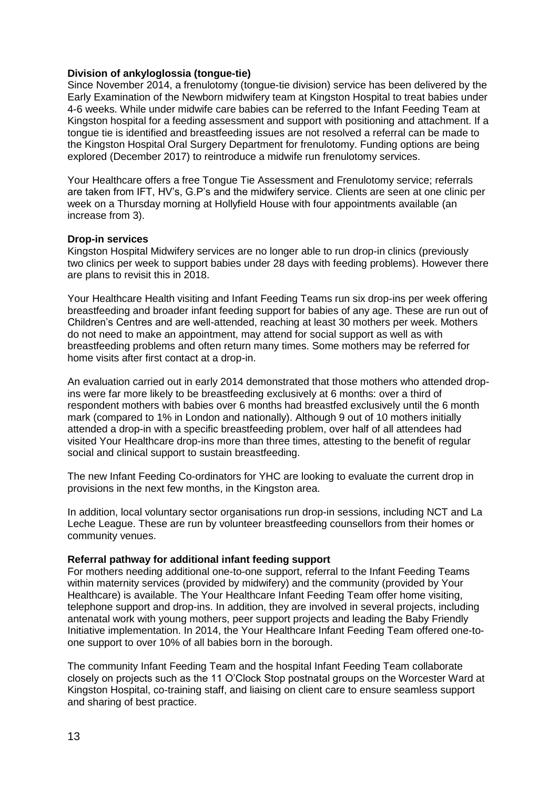## **Division of ankyloglossia (tongue-tie)**

Since November 2014, a frenulotomy (tongue-tie division) service has been delivered by the Early Examination of the Newborn midwifery team at Kingston Hospital to treat babies under 4-6 weeks. While under midwife care babies can be referred to the Infant Feeding Team at Kingston hospital for a feeding assessment and support with positioning and attachment. If a tongue tie is identified and breastfeeding issues are not resolved a referral can be made to the Kingston Hospital Oral Surgery Department for frenulotomy. Funding options are being explored (December 2017) to reintroduce a midwife run frenulotomy services.

Your Healthcare offers a free Tongue Tie Assessment and Frenulotomy service; referrals are taken from IFT, HV's, G.P's and the midwifery service. Clients are seen at one clinic per week on a Thursday morning at Hollyfield House with four appointments available (an increase from 3).

### **Drop-in services**

Kingston Hospital Midwifery services are no longer able to run drop-in clinics (previously two clinics per week to support babies under 28 days with feeding problems). However there are plans to revisit this in 2018.

Your Healthcare Health visiting and Infant Feeding Teams run six drop-ins per week offering breastfeeding and broader infant feeding support for babies of any age. These are run out of Children's Centres and are well-attended, reaching at least 30 mothers per week. Mothers do not need to make an appointment, may attend for social support as well as with breastfeeding problems and often return many times. Some mothers may be referred for home visits after first contact at a drop-in.

An evaluation carried out in early 2014 demonstrated that those mothers who attended dropins were far more likely to be breastfeeding exclusively at 6 months: over a third of respondent mothers with babies over 6 months had breastfed exclusively until the 6 month mark (compared to 1% in London and nationally). Although 9 out of 10 mothers initially attended a drop-in with a specific breastfeeding problem, over half of all attendees had visited Your Healthcare drop-ins more than three times, attesting to the benefit of regular social and clinical support to sustain breastfeeding.

The new Infant Feeding Co-ordinators for YHC are looking to evaluate the current drop in provisions in the next few months, in the Kingston area.

In addition, local voluntary sector organisations run drop-in sessions, including NCT and La Leche League. These are run by volunteer breastfeeding counsellors from their homes or community venues.

#### **Referral pathway for additional infant feeding support**

For mothers needing additional one-to-one support, referral to the Infant Feeding Teams within maternity services (provided by midwifery) and the community (provided by Your Healthcare) is available. The Your Healthcare Infant Feeding Team offer home visiting, telephone support and drop-ins. In addition, they are involved in several projects, including antenatal work with young mothers, peer support projects and leading the Baby Friendly Initiative implementation. In 2014, the Your Healthcare Infant Feeding Team offered one-toone support to over 10% of all babies born in the borough.

The community Infant Feeding Team and the hospital Infant Feeding Team collaborate closely on projects such as the 11 O'Clock Stop postnatal groups on the Worcester Ward at Kingston Hospital, co-training staff, and liaising on client care to ensure seamless support and sharing of best practice.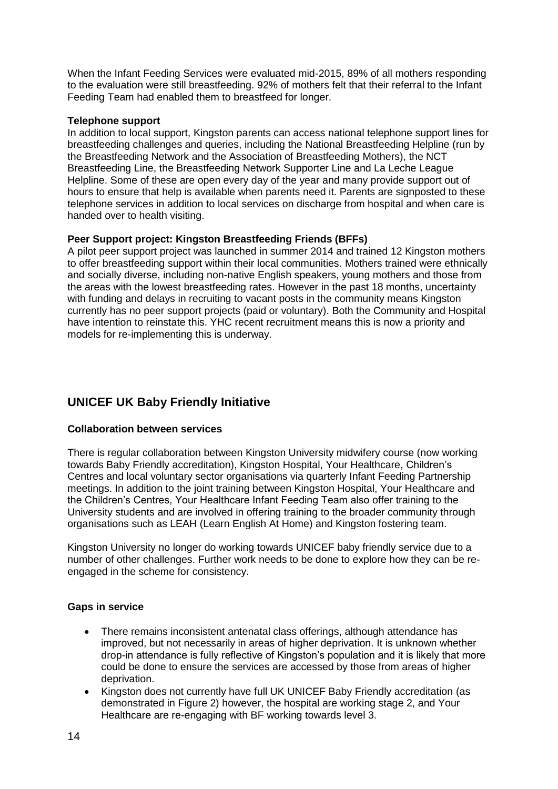When the Infant Feeding Services were evaluated mid-2015, 89% of all mothers responding to the evaluation were still breastfeeding. 92% of mothers felt that their referral to the Infant Feeding Team had enabled them to breastfeed for longer.

## **Telephone support**

In addition to local support, Kingston parents can access national telephone support lines for breastfeeding challenges and queries, including the National Breastfeeding Helpline (run by the Breastfeeding Network and the Association of Breastfeeding Mothers), the NCT Breastfeeding Line, the Breastfeeding Network Supporter Line and La Leche League Helpline. Some of these are open every day of the year and many provide support out of hours to ensure that help is available when parents need it. Parents are signposted to these telephone services in addition to local services on discharge from hospital and when care is handed over to health visiting.

### **Peer Support project: Kingston Breastfeeding Friends (BFFs)**

A pilot peer support project was launched in summer 2014 and trained 12 Kingston mothers to offer breastfeeding support within their local communities. Mothers trained were ethnically and socially diverse, including non-native English speakers, young mothers and those from the areas with the lowest breastfeeding rates. However in the past 18 months, uncertainty with funding and delays in recruiting to vacant posts in the community means Kingston currently has no peer support projects (paid or voluntary). Both the Community and Hospital have intention to reinstate this. YHC recent recruitment means this is now a priority and models for re-implementing this is underway.

## **UNICEF UK Baby Friendly Initiative**

## **Collaboration between services**

There is regular collaboration between Kingston University midwifery course (now working towards Baby Friendly accreditation), Kingston Hospital, Your Healthcare, Children's Centres and local voluntary sector organisations via quarterly Infant Feeding Partnership meetings. In addition to the joint training between Kingston Hospital, Your Healthcare and the Children's Centres, Your Healthcare Infant Feeding Team also offer training to the University students and are involved in offering training to the broader community through organisations such as LEAH (Learn English At Home) and Kingston fostering team.

Kingston University no longer do working towards UNICEF baby friendly service due to a number of other challenges. Further work needs to be done to explore how they can be reengaged in the scheme for consistency.

## **Gaps in service**

- There remains inconsistent antenatal class offerings, although attendance has improved, but not necessarily in areas of higher deprivation. It is unknown whether drop-in attendance is fully reflective of Kingston's population and it is likely that more could be done to ensure the services are accessed by those from areas of higher deprivation.
- Kingston does not currently have full UK UNICEF Baby Friendly accreditation (as demonstrated in Figure 2) however, the hospital are working stage 2, and Your Healthcare are re-engaging with BF working towards level 3.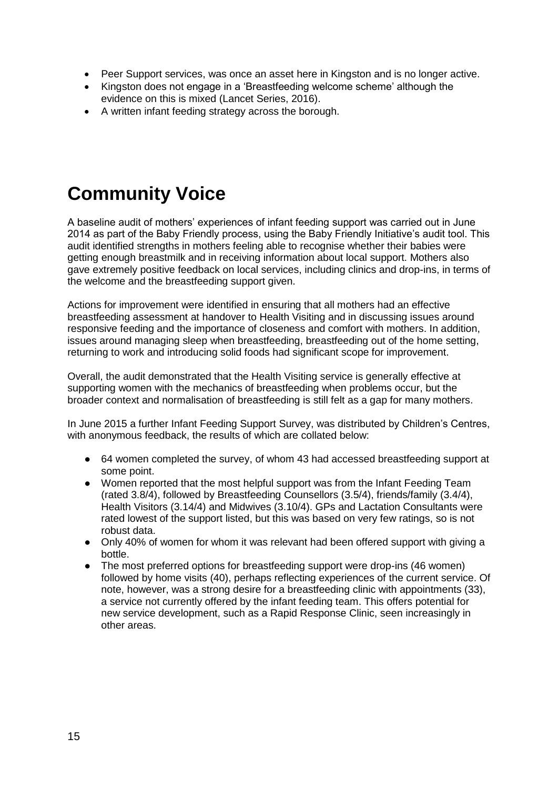- Peer Support services, was once an asset here in Kingston and is no longer active.
- Kingston does not engage in a 'Breastfeeding welcome scheme' although the evidence on this is mixed (Lancet Series, 2016).
- A written infant feeding strategy across the borough.

# **Community Voice**

A baseline audit of mothers' experiences of infant feeding support was carried out in June 2014 as part of the Baby Friendly process, using the Baby Friendly Initiative's audit tool. This audit identified strengths in mothers feeling able to recognise whether their babies were getting enough breastmilk and in receiving information about local support. Mothers also gave extremely positive feedback on local services, including clinics and drop-ins, in terms of the welcome and the breastfeeding support given.

Actions for improvement were identified in ensuring that all mothers had an effective breastfeeding assessment at handover to Health Visiting and in discussing issues around responsive feeding and the importance of closeness and comfort with mothers. In addition, issues around managing sleep when breastfeeding, breastfeeding out of the home setting, returning to work and introducing solid foods had significant scope for improvement.

Overall, the audit demonstrated that the Health Visiting service is generally effective at supporting women with the mechanics of breastfeeding when problems occur, but the broader context and normalisation of breastfeeding is still felt as a gap for many mothers.

In June 2015 a further Infant Feeding Support Survey, was distributed by Children's Centres, with anonymous feedback, the results of which are collated below:

- 64 women completed the survey, of whom 43 had accessed breastfeeding support at some point.
- Women reported that the most helpful support was from the Infant Feeding Team (rated 3.8/4), followed by Breastfeeding Counsellors (3.5/4), friends/family (3.4/4), Health Visitors (3.14/4) and Midwives (3.10/4). GPs and Lactation Consultants were rated lowest of the support listed, but this was based on very few ratings, so is not robust data.
- Only 40% of women for whom it was relevant had been offered support with giving a bottle.
- The most preferred options for breastfeeding support were drop-ins (46 women) followed by home visits (40), perhaps reflecting experiences of the current service. Of note, however, was a strong desire for a breastfeeding clinic with appointments (33), a service not currently offered by the infant feeding team. This offers potential for new service development, such as a Rapid Response Clinic, seen increasingly in other areas.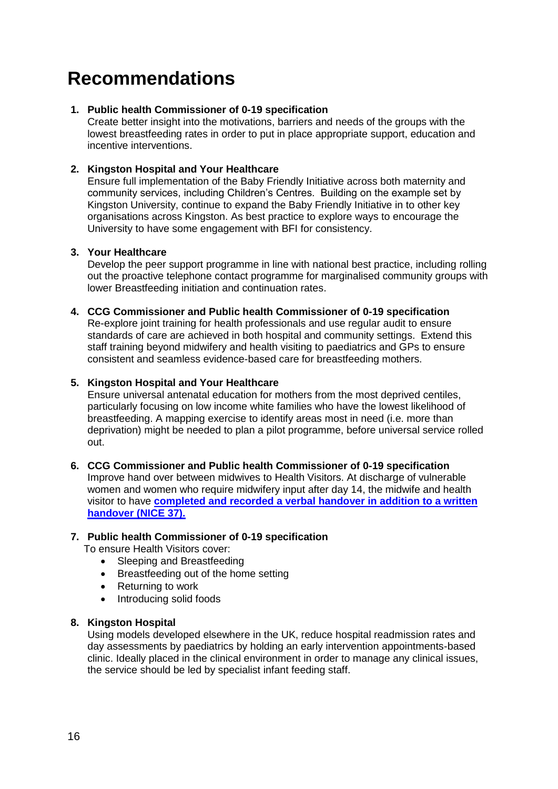# **Recommendations**

## **1. Public health Commissioner of 0-19 specification**

Create better insight into the motivations, barriers and needs of the groups with the lowest breastfeeding rates in order to put in place appropriate support, education and incentive interventions.

## **2. Kingston Hospital and Your Healthcare**

Ensure full implementation of the Baby Friendly Initiative across both maternity and community services, including Children's Centres. Building on the example set by Kingston University, continue to expand the Baby Friendly Initiative in to other key organisations across Kingston. As best practice to explore ways to encourage the University to have some engagement with BFI for consistency.

## **3. Your Healthcare**

Develop the peer support programme in line with national best practice, including rolling out the proactive telephone contact programme for marginalised community groups with lower Breastfeeding initiation and continuation rates.

## **4. CCG Commissioner and Public health Commissioner of 0-19 specification**

Re-explore joint training for health professionals and use regular audit to ensure standards of care are achieved in both hospital and community settings. Extend this staff training beyond midwifery and health visiting to paediatrics and GPs to ensure consistent and seamless evidence-based care for breastfeeding mothers.

## **5. Kingston Hospital and Your Healthcare**

Ensure universal antenatal education for mothers from the most deprived centiles, particularly focusing on low income white families who have the lowest likelihood of breastfeeding. A mapping exercise to identify areas most in need (i.e. more than deprivation) might be needed to plan a pilot programme, before universal service rolled out.

## **6. CCG Commissioner and Public health Commissioner of 0-19 specification** Improve hand over between midwives to Health Visitors. At discharge of vulnerable women and women who require midwifery input after day 14, the midwife and health visitor to have **[completed and recorded a verbal handover in addition to a written](https://www.gov.uk/government/uploads/system/uploads/attachment_data/file/465344/2903819_PHE_Midwifery_accessible.pdf)  [handover \(NICE 37\).](https://www.gov.uk/government/uploads/system/uploads/attachment_data/file/465344/2903819_PHE_Midwifery_accessible.pdf)**

## **7. Public health Commissioner of 0-19 specification**

To ensure Health Visitors cover:

- Sleeping and Breastfeeding
- Breastfeeding out of the home setting
- Returning to work
- Introducing solid foods

#### **8. Kingston Hospital**

Using models developed elsewhere in the UK, reduce hospital readmission rates and day assessments by paediatrics by holding an early intervention appointments-based clinic. Ideally placed in the clinical environment in order to manage any clinical issues, the service should be led by specialist infant feeding staff.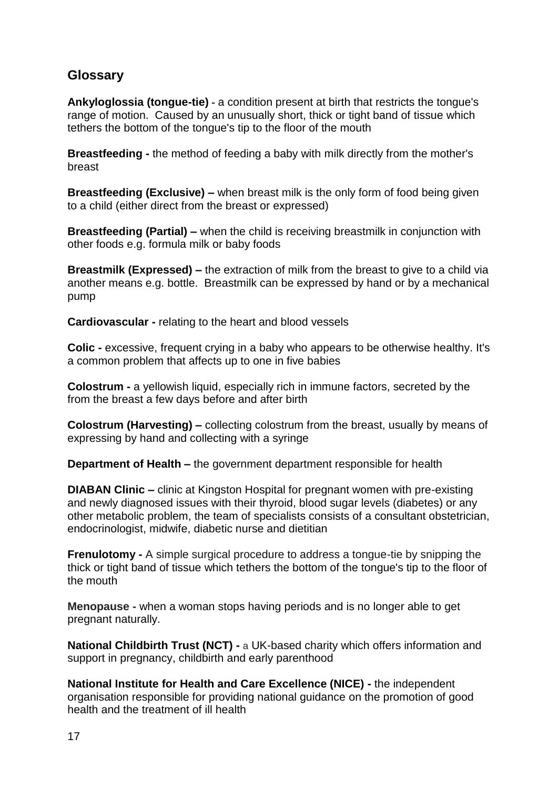## **Glossary**

**Ankyloglossia (tongue-tie) -** a condition present at birth that restricts the tongue's range of motion. Caused by an unusually short, thick or tight band of tissue which tethers the bottom of the tongue's tip to the floor of the mouth

**Breastfeeding -** the method of feeding a baby with milk directly from the mother's breast

**Breastfeeding (Exclusive) –** when breast milk is the only form of food being given to a child (either direct from the breast or expressed)

**Breastfeeding (Partial) –** when the child is receiving breastmilk in conjunction with other foods e.g. formula milk or baby foods

**Breastmilk (Expressed) –** the extraction of milk from the breast to give to a child via another means e.g. bottle. Breastmilk can be expressed by hand or by a mechanical pump

**Cardiovascular -** relating to the heart and blood vessels

**Colic -** excessive, frequent crying in a baby who appears to be otherwise healthy. It's a common problem that affects up to one in five babies

**Colostrum -** a yellowish liquid, especially rich in immune factors, secreted by the from the breast a few days before and after birth

**Colostrum (Harvesting) –** collecting colostrum from the breast, usually by means of expressing by hand and collecting with a syringe

**Department of Health –** the government department responsible for health

**DIABAN Clinic –** clinic at Kingston Hospital for pregnant women with pre-existing and newly diagnosed issues with their thyroid, blood sugar levels (diabetes) or any other metabolic problem, the team of specialists consists of a consultant obstetrician, endocrinologist, midwife, diabetic nurse and dietitian

**Frenulotomy -** A simple surgical procedure to address a tongue-tie by snipping the thick or tight band of tissue which tethers the bottom of the tongue's tip to the floor of the mouth

**Menopause -** when a woman stops having [periods](http://www.nhs.uk/conditions/Periods/Pages/Introduction.aspx) and is no longer able to get pregnant naturally.

**National Childbirth Trust (NCT) -** a UK-based [charity](https://en.wikipedia.org/wiki/Charitable_organization) which offers information and support in [pregnancy,](https://en.wikipedia.org/wiki/Pregnancy) [childbirth](https://en.wikipedia.org/wiki/Childbirth) and early parenthood

**National Institute for Health and Care Excellence (NICE) -** the independent organisation responsible for providing national guidance on the promotion of good health and the treatment of ill health